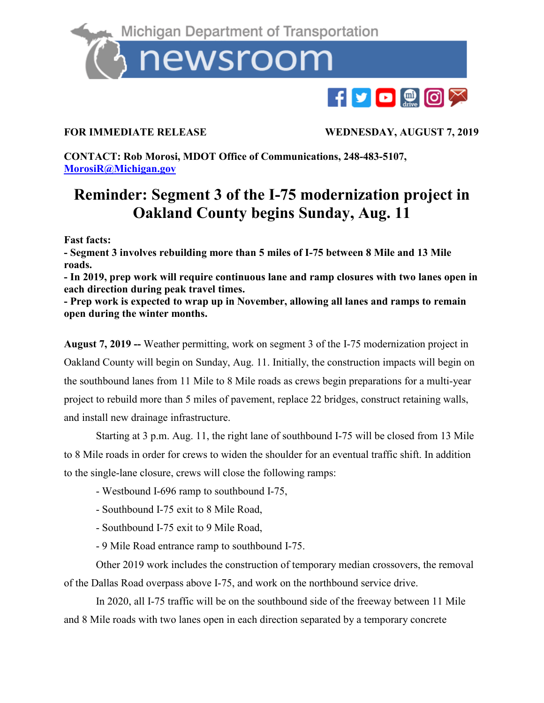

**FOR IMMEDIATE RELEASE WEDNESDAY, AUGUST 7, 2019**

**CONTACT: Rob Morosi, MDOT Office of Communications, 248-483-5107, [MorosiR@Michigan.gov](mailto:MorosiR@Michigan.gov)**

## **Reminder: Segment 3 of the I-75 modernization project in Oakland County begins Sunday, Aug. 11**

**Fast facts:**

**- Segment 3 involves rebuilding more than 5 miles of I-75 between 8 Mile and 13 Mile roads.**

**- In 2019, prep work will require continuous lane and ramp closures with two lanes open in each direction during peak travel times.**

**- Prep work is expected to wrap up in November, allowing all lanes and ramps to remain open during the winter months.** 

**August 7, 2019 --** Weather permitting, work on segment 3 of the I-75 modernization project in Oakland County will begin on Sunday, Aug. 11. Initially, the construction impacts will begin on the southbound lanes from 11 Mile to 8 Mile roads as crews begin preparations for a multi-year project to rebuild more than 5 miles of pavement, replace 22 bridges, construct retaining walls, and install new drainage infrastructure.

Starting at 3 p.m. Aug. 11, the right lane of southbound I-75 will be closed from 13 Mile to 8 Mile roads in order for crews to widen the shoulder for an eventual traffic shift. In addition to the single-lane closure, crews will close the following ramps:

- Westbound I-696 ramp to southbound I-75,
- Southbound I-75 exit to 8 Mile Road,
- Southbound I-75 exit to 9 Mile Road,
- 9 Mile Road entrance ramp to southbound I-75.

Other 2019 work includes the construction of temporary median crossovers, the removal of the Dallas Road overpass above I-75, and work on the northbound service drive.

In 2020, all I-75 traffic will be on the southbound side of the freeway between 11 Mile and 8 Mile roads with two lanes open in each direction separated by a temporary concrete